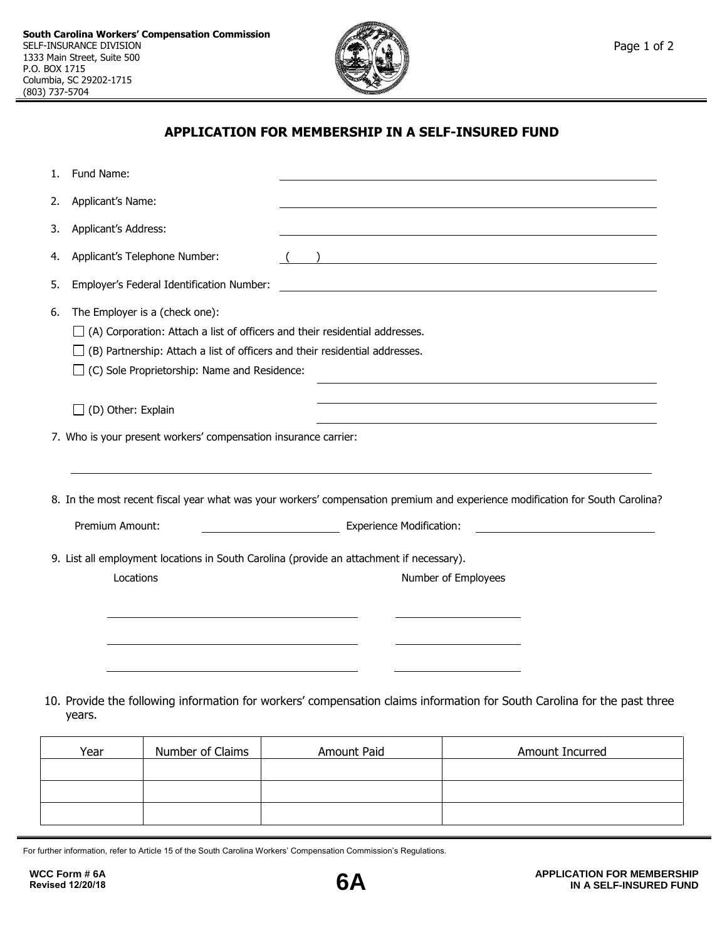

## **APPLICATION FOR MEMBERSHIP IN A SELF-INSURED FUND**

| 1. | Fund Name:                                                                                                                                                                                                                                                                                     |                                                                                                                               |
|----|------------------------------------------------------------------------------------------------------------------------------------------------------------------------------------------------------------------------------------------------------------------------------------------------|-------------------------------------------------------------------------------------------------------------------------------|
| 2. | Applicant's Name:                                                                                                                                                                                                                                                                              |                                                                                                                               |
| 3. | Applicant's Address:                                                                                                                                                                                                                                                                           |                                                                                                                               |
| 4. | Applicant's Telephone Number:                                                                                                                                                                                                                                                                  |                                                                                                                               |
| 5. | Employer's Federal Identification Number:                                                                                                                                                                                                                                                      |                                                                                                                               |
| 6. | The Employer is a (check one):<br>$\Box$ (A) Corporation: Attach a list of officers and their residential addresses.<br>$\Box$ (B) Partnership: Attach a list of officers and their residential addresses.<br>$\Box$ (C) Sole Proprietorship: Name and Residence:<br>$\Box$ (D) Other: Explain |                                                                                                                               |
|    | 7. Who is your present workers' compensation insurance carrier:                                                                                                                                                                                                                                | 8. In the most recent fiscal year what was your workers' compensation premium and experience modification for South Carolina? |
|    | Premium Amount:                                                                                                                                                                                                                                                                                | Experience Modification:                                                                                                      |
|    | 9. List all employment locations in South Carolina (provide an attachment if necessary).<br>Locations<br><u> 1989 - Johann Stein, mars an t-Amerikaansk ferskeizh en de skriuwer en deze en deze en deze en deze en deze </u>                                                                  | Number of Employees                                                                                                           |
|    | years.                                                                                                                                                                                                                                                                                         | 10. Provide the following information for workers' compensation claims information for South Carolina for the past three      |

| Number of Claims<br>Year |  | Amount Paid | Amount Incurred |  |  |  |
|--------------------------|--|-------------|-----------------|--|--|--|
|                          |  |             |                 |  |  |  |
|                          |  |             |                 |  |  |  |
|                          |  |             |                 |  |  |  |

For further information, refer to Article 15 of the South Carolina Workers' Compensation Commission's Regulations.